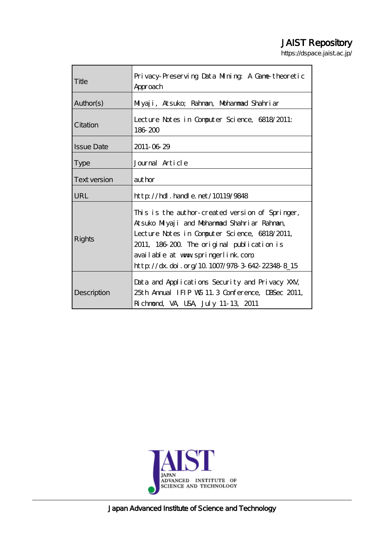# JAIST Repository

https://dspace.jaist.ac.jp/

| Title               | Privacy-Preserving Data Mining A Game-theoretic<br>Approach                                                                                                                                                                                                                          |
|---------------------|--------------------------------------------------------------------------------------------------------------------------------------------------------------------------------------------------------------------------------------------------------------------------------------|
| Author(s)           | Miyaji, Atsuko; Rahnan, Mohanmad Shahriar                                                                                                                                                                                                                                            |
| Citation            | Lecture Notes in Computer Science, 6818/2011:<br>186 200                                                                                                                                                                                                                             |
| <b>Issue Date</b>   | 2011-06-29                                                                                                                                                                                                                                                                           |
| <b>Type</b>         | Journal Article                                                                                                                                                                                                                                                                      |
| <b>Text version</b> | author                                                                                                                                                                                                                                                                               |
| <b>URL</b>          | $http$ // $hdl$ . handle. net/10119/9848                                                                                                                                                                                                                                             |
| Rights              | This is the author-created version of Springer,<br>Atsuko Miyaji and Mohammad Shahriar Rahman,<br>Lecture Notes in Computer Science, 6818/2011,<br>2011, 186-200. The original publication is<br>available at www.springerlink.com<br>http://dx.doi.org/10.1007/978-3-642-22348-8_15 |
| Description         | Data and Applications Security and Privacy XXV,<br>25th Annual IFIP WG 11.3 Conference, DBSec 2011,<br>Richmond, VA, USA, July 11-13, 2011                                                                                                                                           |



Japan Advanced Institute of Science and Technology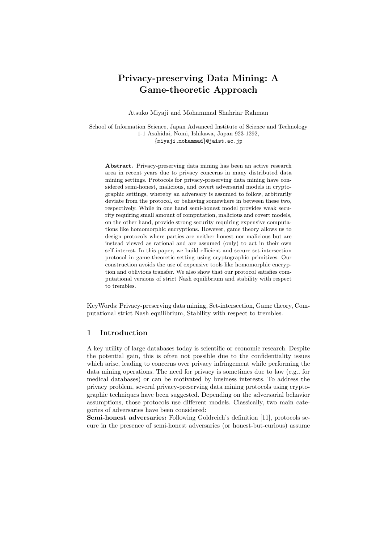## Privacy-preserving Data Mining: A Game-theoretic Approach

Atsuko Miyaji and Mohammad Shahriar Rahman

School of Information Science, Japan Advanced Institute of Science and Technology 1-1 Asahidai, Nomi, Ishikawa, Japan 923-1292, {miyaji,mohammad}@jaist.ac.jp

Abstract. Privacy-preserving data mining has been an active research area in recent years due to privacy concerns in many distributed data mining settings. Protocols for privacy-preserving data mining have considered semi-honest, malicious, and covert adversarial models in cryptographic settings, whereby an adversary is assumed to follow, arbitrarily deviate from the protocol, or behaving somewhere in between these two, respectively. While in one hand semi-honest model provides weak security requiring small amount of computation, malicious and covert models, on the other hand, provide strong security requiring expensive computations like homomorphic encryptions. However, game theory allows us to design protocols where parties are neither honest nor malicious but are instead viewed as rational and are assumed (only) to act in their own self-interest. In this paper, we build efficient and secure set-intersection protocol in game-theoretic setting using cryptographic primitives. Our construction avoids the use of expensive tools like homomorphic encryption and oblivious transfer. We also show that our protocol satisfies computational versions of strict Nash equilibrium and stability with respect to trembles.

KeyWords: Privacy-preserving data mining, Set-intersection, Game theory, Computational strict Nash equilibrium, Stability with respect to trembles.

## 1 Introduction

A key utility of large databases today is scientific or economic research. Despite the potential gain, this is often not possible due to the confidentiality issues which arise, leading to concerns over privacy infringement while performing the data mining operations. The need for privacy is sometimes due to law (e.g., for medical databases) or can be motivated by business interests. To address the privacy problem, several privacy-preserving data mining protocols using cryptographic techniques have been suggested. Depending on the adversarial behavior assumptions, those protocols use different models. Classically, two main categories of adversaries have been considered:

Semi-honest adversaries: Following Goldreich's definition [11], protocols secure in the presence of semi-honest adversaries (or honest-but-curious) assume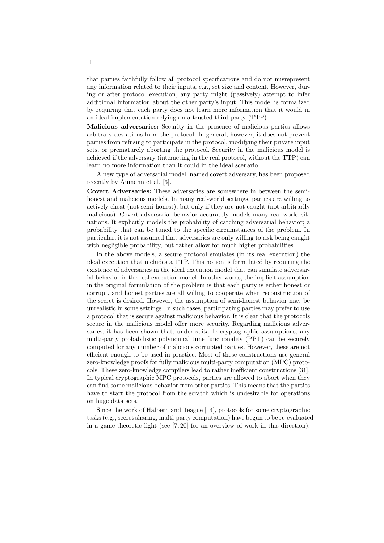that parties faithfully follow all protocol specifications and do not misrepresent any information related to their inputs, e.g., set size and content. However, during or after protocol execution, any party might (passively) attempt to infer additional information about the other party's input. This model is formalized by requiring that each party does not learn more information that it would in an ideal implementation relying on a trusted third party (TTP).

Malicious adversaries: Security in the presence of malicious parties allows arbitrary deviations from the protocol. In general, however, it does not prevent parties from refusing to participate in the protocol, modifying their private input sets, or prematurely aborting the protocol. Security in the malicious model is achieved if the adversary (interacting in the real protocol, without the TTP) can learn no more information than it could in the ideal scenario.

A new type of adversarial model, named covert adversary, has been proposed recently by Aumann et al. [3].

Covert Adversaries: These adversaries are somewhere in between the semihonest and malicious models. In many real-world settings, parties are willing to actively cheat (not semi-honest), but only if they are not caught (not arbitrarily malicious). Covert adversarial behavior accurately models many real-world situations. It explicitly models the probability of catching adversarial behavior; a probability that can be tuned to the specific circumstances of the problem. In particular, it is not assumed that adversaries are only willing to risk being caught with negligible probability, but rather allow for much higher probabilities.

In the above models, a secure protocol emulates (in its real execution) the ideal execution that includes a TTP. This notion is formulated by requiring the existence of adversaries in the ideal execution model that can simulate adversarial behavior in the real execution model. In other words, the implicit assumption in the original formulation of the problem is that each party is either honest or corrupt, and honest parties are all willing to cooperate when reconstruction of the secret is desired. However, the assumption of semi-honest behavior may be unrealistic in some settings. In such cases, participating parties may prefer to use a protocol that is secure against malicious behavior. It is clear that the protocols secure in the malicious model offer more security. Regarding malicious adversaries, it has been shown that, under suitable cryptographic assumptions, any multi-party probabilistic polynomial time functionality (PPT) can be securely computed for any number of malicious corrupted parties. However, these are not efficient enough to be used in practice. Most of these constructions use general zero-knowledge proofs for fully malicious multi-party computation (MPC) protocols. These zero-knowledge compilers lead to rather inefficient constructions [31]. In typical cryptographic MPC protocols, parties are allowed to abort when they can find some malicious behavior from other parties. This means that the parties have to start the protocol from the scratch which is undesirable for operations on huge data sets.

Since the work of Halpern and Teague [14], protocols for some cryptographic tasks (e.g., secret sharing, multi-party computation) have begun to be re-evaluated in a game-theoretic light (see [7, 20] for an overview of work in this direction).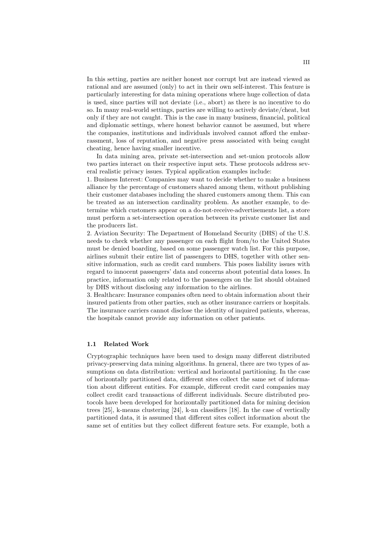In this setting, parties are neither honest nor corrupt but are instead viewed as rational and are assumed (only) to act in their own self-interest. This feature is particularly interesting for data mining operations where huge collection of data is used, since parties will not deviate (i.e., abort) as there is no incentive to do so. In many real-world settings, parties are willing to actively deviate/cheat, but only if they are not caught. This is the case in many business, financial, political and diplomatic settings, where honest behavior cannot be assumed, but where the companies, institutions and individuals involved cannot afford the embarrassment, loss of reputation, and negative press associated with being caught cheating, hence having smaller incentive.

In data mining area, private set-intersection and set-union protocols allow two parties interact on their respective input sets. These protocols address several realistic privacy issues. Typical application examples include:

1. Business Interest: Companies may want to decide whether to make a business alliance by the percentage of customers shared among them, without publishing their customer databases including the shared customers among them. This can be treated as an intersection cardinality problem. As another example, to determine which customers appear on a do-not-receive-advertisements list, a store must perform a set-intersection operation between its private customer list and the producers list.

2. Aviation Security: The Department of Homeland Security (DHS) of the U.S. needs to check whether any passenger on each flight from/to the United States must be denied boarding, based on some passenger watch list. For this purpose, airlines submit their entire list of passengers to DHS, together with other sensitive information, such as credit card numbers. This poses liability issues with regard to innocent passengers' data and concerns about potential data losses. In practice, information only related to the passengers on the list should obtained by DHS without disclosing any information to the airlines.

3. Healthcare: Insurance companies often need to obtain information about their insured patients from other parties, such as other insurance carriers or hospitals. The insurance carriers cannot disclose the identity of inquired patients, whereas, the hospitals cannot provide any information on other patients.

#### 1.1 Related Work

Cryptographic techniques have been used to design many different distributed privacy-preserving data mining algorithms. In general, there are two types of assumptions on data distribution: vertical and horizontal partitioning. In the case of horizontally partitioned data, different sites collect the same set of information about different entities. For example, different credit card companies may collect credit card transactions of different individuals. Secure distributed protocols have been developed for horizontally partitioned data for mining decision trees [25], k-means clustering [24], k-nn classifiers [18]. In the case of vertically partitioned data, it is assumed that different sites collect information about the same set of entities but they collect different feature sets. For example, both a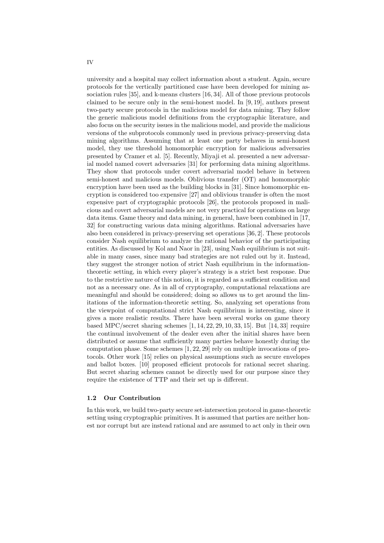university and a hospital may collect information about a student. Again, secure protocols for the vertically partitioned case have been developed for mining association rules [35], and k-means clusters [16, 34]. All of those previous protocols claimed to be secure only in the semi-honest model. In [9, 19], authors present two-party secure protocols in the malicious model for data mining. They follow the generic malicious model definitions from the cryptographic literature, and also focus on the security issues in the malicious model, and provide the malicious versions of the subprotocols commonly used in previous privacy-preserving data mining algorithms. Assuming that at least one party behaves in semi-honest model, they use threshold homomorphic encryption for malicious adversaries presented by Cramer et al. [5]. Recently, Miyaji et al. presented a new adversarial model named covert adversaries [31] for performing data mining algorithms. They show that protocols under covert adversarial model behave in between semi-honest and malicious models. Oblivious transfer (OT) and homomorphic encryption have been used as the building blocks in [31]. Since homomorphic encryption is considered too expensive [27] and oblivious transfer is often the most expensive part of cryptographic protocols [26], the protocols proposed in malicious and covert adversarial models are not very practical for operations on large data items. Game theory and data mining, in general, have been combined in [17, 32] for constructing various data mining algorithms. Rational adversaries have also been considered in privacy-preserving set operations [36, 2]. These protocols consider Nash equilibrium to analyze the rational behavior of the participating entities. As discussed by Kol and Naor in [23], using Nash equilibrium is not suitable in many cases, since many bad strategies are not ruled out by it. Instead, they suggest the stronger notion of strict Nash equilibrium in the informationtheoretic setting, in which every player's strategy is a strict best response. Due to the restrictive nature of this notion, it is regarded as a sufficient condition and not as a necessary one. As in all of cryptography, computational relaxations are meaningful and should be considered; doing so allows us to get around the limitations of the information-theoretic setting. So, analyzing set operations from the viewpoint of computational strict Nash equilibrium is interesting, since it gives a more realistic results. There have been several works on game theory based MPC/secret sharing schemes [1, 14, 22, 29, 10, 33, 15]. But [14, 33] require the continual involvement of the dealer even after the initial shares have been distributed or assume that sufficiently many parties behave honestly during the computation phase. Some schemes [1, 22, 29] rely on multiple invocations of protocols. Other work [15] relies on physical assumptions such as secure envelopes and ballot boxes. [10] proposed efficient protocols for rational secret sharing. But secret sharing schemes cannot be directly used for our purpose since they require the existence of TTP and their set up is different.

#### 1.2 Our Contribution

In this work, we build two-party secure set-intersection protocol in game-theoretic setting using cryptographic primitives. It is assumed that parties are neither honest nor corrupt but are instead rational and are assumed to act only in their own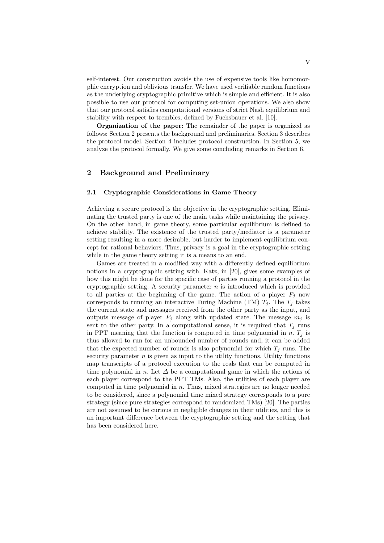self-interest. Our construction avoids the use of expensive tools like homomorphic encryption and oblivious transfer. We have used verifiable random functions as the underlying cryptographic primitive which is simple and efficient. It is also possible to use our protocol for computing set-union operations. We also show that our protocol satisfies computational versions of strict Nash equilibrium and stability with respect to trembles, defined by Fuchsbauer et al. [10].

Organization of the paper: The remainder of the paper is organized as follows: Section 2 presents the background and preliminaries. Section 3 describes the protocol model. Section 4 includes protocol construction. In Section 5, we analyze the protocol formally. We give some concluding remarks in Section 6.

#### 2 Background and Preliminary

#### 2.1 Cryptographic Considerations in Game Theory

Achieving a secure protocol is the objective in the cryptographic setting. Eliminating the trusted party is one of the main tasks while maintaining the privacy. On the other hand, in game theory, some particular equilibrium is defined to achieve stability. The existence of the trusted party/mediator is a parameter setting resulting in a more desirable, but harder to implement equilibrium concept for rational behaviors. Thus, privacy is a goal in the cryptographic setting while in the game theory setting it is a means to an end.

Games are treated in a modified way with a differently defined equilibrium notions in a cryptographic setting with. Katz, in [20], gives some examples of how this might be done for the specific case of parties running a protocol in the cryptographic setting. A security parameter  $n$  is introduced which is provided to all parties at the beginning of the game. The action of a player  $P_i$  now corresponds to running an interactive Turing Machine (TM)  $T_i$ . The  $T_i$  takes the current state and messages received from the other party as the input, and outputs message of player  $P_i$  along with updated state. The message  $m_i$  is sent to the other party. In a computational sense, it is required that  $T_j$  runs in PPT meaning that the function is computed in time polynomial in n.  $T_j$  is thus allowed to run for an unbounded number of rounds and, it can be added that the expected number of rounds is also polynomial for which  $T_j$  runs. The security parameter  $n$  is given as input to the utility functions. Utility functions map transcripts of a protocol execution to the reals that can be computed in time polynomial in n. Let  $\Delta$  be a computational game in which the actions of each player correspond to the PPT TMs. Also, the utilities of each player are computed in time polynomial in n. Thus, mixed strategies are no longer needed to be considered, since a polynomial time mixed strategy corresponds to a pure strategy (since pure strategies correspond to randomized TMs) [20]. The parties are not assumed to be curious in negligible changes in their utilities, and this is an important difference between the cryptographic setting and the setting that has been considered here.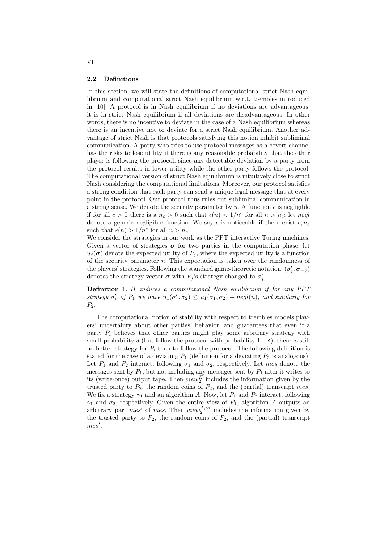#### 2.2 Definitions

In this section, we will state the definitions of computational strict Nash equilibrium and computational strict Nash equilibrium w.r.t. trembles introduced in [10]. A protocol is in Nash equilibrium if no deviations are advantageous; it is in strict Nash equilibrium if all deviations are disadvantageous. In other words, there is no incentive to deviate in the case of a Nash equilibrium whereas there is an incentive not to deviate for a strict Nash equilibrium. Another advantage of strict Nash is that protocols satisfying this notion inhibit subliminal communication. A party who tries to use protocol messages as a covert channel has the risks to lose utility if there is any reasonable probability that the other player is following the protocol, since any detectable deviation by a party from the protocol results in lower utility while the other party follows the protocol. The computational version of strict Nash equilibrium is intuitively close to strict Nash considering the computational limitations. Moreover, our protocol satisfies a strong condition that each party can send a unique legal message that at every point in the protocol. Our protocol thus rules out subliminal communication in a strong sense. We denote the security parameter by n. A function  $\epsilon$  is negligible if for all  $c > 0$  there is a  $n_c > 0$  such that  $\epsilon(n) < 1/n^c$  for all  $n > n_c$ ; let neglet denote a generic negligible function. We say  $\epsilon$  is noticeable if there exist c,  $n_c$ such that  $\epsilon(n) > 1/n^c$  for all  $n > n_c$ .

We consider the strategies in our work as the PPT interactive Turing machines. Given a vector of strategies  $\sigma$  for two parties in the computation phase, let  $u_i(\boldsymbol{\sigma})$  denote the expected utility of  $P_i$ , where the expected utility is a function of the security parameter  $n$ . This expectation is taken over the randomness of the players' strategies. Following the standard game-theoretic notation,  $(\sigma'_j, \sigma_{-j})$ denotes the strategy vector  $\sigma$  with  $P_j$ 's strategy changed to  $\sigma'_j$ .

Definition 1.  $\Pi$  induces a computational Nash equilibrium if for any PPT strategy  $\sigma'_1$  of  $P_1$  we have  $u_1(\sigma'_1, \sigma_2) \le u_1(\sigma_1, \sigma_2) + negl(n)$ , and similarly for  $P_2$ .

The computational notion of stability with respect to trembles models players' uncertainty about other parties' behavior, and guarantees that even if a party  $P_i$  believes that other parties might play some arbitrary strategy with small probability  $\delta$  (but follow the protocol with probability  $1 - \delta$ ), there is still no better strategy for  $P_i$  than to follow the protocol. The following definition is stated for the case of a deviating  $P_1$  (definition for a deviating  $P_2$  is analogous). Let  $P_1$  and  $P_2$  interact, following  $\sigma_1$  and  $\sigma_2$ , respectively. Let mes denote the messages sent by  $P_1$ , but not including any messages sent by  $P_1$  after it writes to its (write-once) output tape. Then  $view_2^{\Pi}$  includes the information given by the trusted party to  $P_2$ , the random coins of  $P_2$ , and the (partial) transcript mes. We fix a strategy  $\gamma_1$  and an algorithm A. Now, let  $P_1$  and  $P_2$  interact, following  $\gamma_1$  and  $\sigma_2$ , respectively. Given the entire view of  $P_1$ , algorithm A outputs an arbitrary part *mes'* of *mes*. Then  $view_2^{A,\gamma_1}$  includes the information given by the trusted party to  $P_2$ , the random coins of  $P_2$ , and the (partial) transcript  $mes'$ .

VI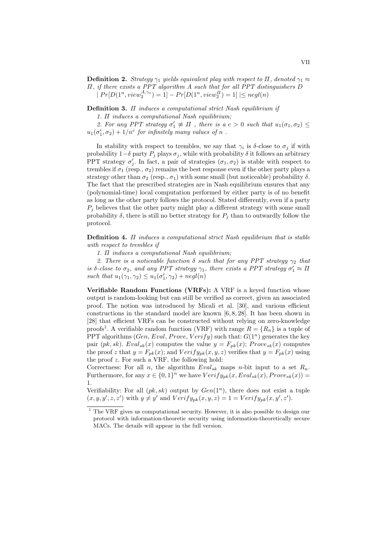**Definition 2.** Strategy  $\gamma_1$  yields equivalent play with respect to  $\Pi$ , denoted  $\gamma_1 \approx$ Π, if there exists a PPT algorithm A such that for all PPT distinguishers D  $| Pr[D(1<sup>n</sup>, view<sub>2</sub><sup>A,\gamma<sub>1</sub></sup>) = 1] - Pr[D(1<sup>n</sup>, view<sub>2</sub><sup>H</sup>) = 1] | \leq negl(n)$ 

**Definition 3.**  $\Pi$  induces a computational strict Nash equilibrium if

1. Π induces a computational Nash equilibrium;

2. For any PPT strategy  $\sigma'_1 \not\approx \Pi$ , there is a  $c > 0$  such that  $u_1(\sigma_1, \sigma_2) \leq$  $u_1(\sigma'_1, \sigma_2) + 1/n^c$  for infinitely many values of n.

In stability with respect to trembles, we say that  $\gamma_i$  is  $\delta$ -close to  $\sigma_j$  if with probability  $1-\delta$  party  $P_j$  plays  $\sigma_j$ , while with probability  $\delta$  it follows an arbitrary PPT strategy  $\sigma'_j$ . In fact, a pair of strategies  $(\sigma_1, \sigma_2)$  is stable with respect to trembles if  $\sigma_1$  (resp.,  $\sigma_2$ ) remains the best response even if the other party plays a strategy other than  $\sigma_2$  (resp.,  $\sigma_1$ ) with some small (but noticeable) probability  $\delta$ . The fact that the prescribed strategies are in Nash equilibrium ensures that any (polynomial-time) local computation performed by either party is of no benefit as long as the other party follows the protocol. Stated differently, even if a party  $P_i$  believes that the other party might play a different strategy with some small probability  $\delta$ , there is still no better strategy for  $P_i$  than to outwardly follow the protocol.

**Definition 4.**  $\Pi$  induces a computational strict Nash equilibrium that is stable with respect to trembles if

1. Π induces a computational Nash equilibrium;

2. There is a noticeable function  $\delta$  such that for any PPT strategy  $\gamma_2$  that is δ-close to  $\sigma_2$ , and any PPT strategy  $\gamma_1$ , there exists a PPT strategy  $\sigma'_1 \approx \Pi$ such that  $u_1(\gamma_1, \gamma_2) \leq u_1(\sigma'_1, \gamma_2) + negl(n)$ 

Verifiable Random Functions (VRFs): A VRF is a keyed function whose output is random-looking but can still be verified as correct, given an associated proof. The notion was introduced by Micali et al. [30], and various efficient constructions in the standard model are known [6, 8, 28]. It has been shown in [28] that efficient VRFs can be constructed without relying on zero-knowledge proofs<sup>1</sup>. A verifiable random function (VRF) with range  $R = \{R_n\}$  is a tuple of PPT algorithms (Gen, Eval, Prove, Verify) such that:  $G(1^n)$  generates the key pair (pk, sk). Eval<sub>sk</sub>(x) computes the value  $y = F_{pk}(x)$ ; Prove<sub>sk</sub>(x) computes the proof z that  $y = F_{pk}(x)$ ; and  $Verify_{pk}(x, y, z)$  verifies that  $y = F_{pk}(x)$  using the proof  $z$ . For such a VRF, the following hold:

Correctness: For all n, the algorithm  $Eval_{sk}$  maps n-bit input to a set  $R_n$ . Furthermore, for any  $x \in \{0,1\}^n$  we have  $Verify_{pk}(x,Eval_{sk}(x), Prove_{sk}(x)) =$ 1.

Verifiability: For all  $(pk, sk)$  output by  $Gen(1^n)$ , there does not exist a tuple  $(x, y, y', z, z')$  with  $y \neq y'$  and  $Verify_{pk}(x, y, z) = 1 = Verify_{pk}(x, y', z').$ 

<sup>1</sup> The VRF gives us computational security. However, it is also possible to design our protocol with information-theoretic security using information-theoretically secure MACs. The details will appear in the full version.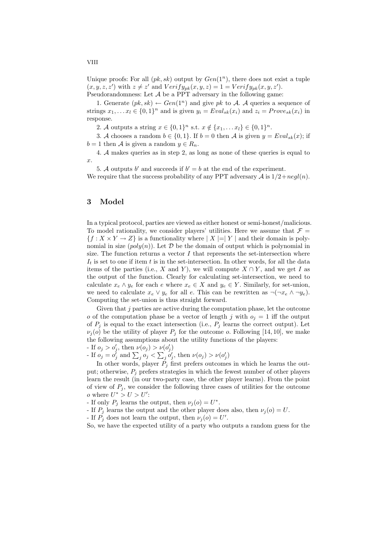Unique proofs: For all  $(pk, sk)$  output by  $Gen(1^n)$ , there does not exist a tuple  $(x, y, z, z')$  with  $z \neq z'$  and  $Verify_{pk}(x, y, z) = 1 = Verify_{pk}(x, y, z').$ 

Pseudorandomness: Let  $A$  be a PPT adversary in the following game:

1. Generate  $(pk, sk) \leftarrow Gen(1^n)$  and give pk to A. A queries a sequence of strings  $x_1, \ldots x_l \in \{0, 1\}^n$  and is given  $y_i = Eval_{sk}(x_i)$  and  $z_i = Prove_{sk}(x_i)$  in response.

2. A outputs a string  $x \in \{0,1\}^n$  s.t.  $x \notin \{x_1,...,x_l\} \in \{0,1\}^n$ .

3. A chooses a random  $b \in \{0, 1\}$ . If  $b = 0$  then A is given  $y = Eval_{sk}(x)$ ; if  $b = 1$  then A is given a random  $y \in R_n$ .

4. A makes queries as in step 2, as long as none of these queries is equal to x.

5. A outputs b' and succeeds if  $b' = b$  at the end of the experiment.

We require that the success probability of any PPT adversary  $\mathcal{A}$  is  $1/2+neg(ln)$ .

### 3 Model

In a typical protocol, parties are viewed as either honest or semi-honest/malicious. To model rationality, we consider players' utilities. Here we assume that  $\mathcal{F} =$  ${f : X \times Y \to Z}$  is a functionality where  $|X| = |Y|$  and their domain is polynomial in size  $(poly(n))$ . Let  $\mathcal D$  be the domain of output which is polynomial in size. The function returns a vector  $I$  that represents the set-intersection where  $I_t$  is set to one if item t is in the set-intersection. In other words, for all the data items of the parties (i.e., X and Y), we will compute  $X \cap Y$ , and we get I as the output of the function. Clearly for calculating set-intersection, we need to calculate  $x_e \wedge y_e$  for each e where  $x_e \in X$  and  $y_e \in Y$ . Similarly, for set-union, we need to calculate  $x_e \vee y_e$  for all e. This can be rewritten as  $\neg(\neg x_e \wedge \neg y_e)$ . Computing the set-union is thus straight forward.

Given that  $j$  parties are active during the computation phase, let the outcome o of the computation phase be a vector of length j with  $o_j = 1$  iff the output of  $P_j$  is equal to the exact intersection (i.e.,  $P_j$  learns the correct output). Let  $\nu_j(o)$  be the utility of player  $P_j$  for the outcome o. Following [14, 10], we make the following assumptions about the utility functions of the players: - If  $o_j > o'_j$ , then  $\nu(o_j) > \nu(o'_j)$ 

- If  $o_j > o_j$ , then  $\nu(o_j) > \nu$ <br>
- If  $o_j = o'_j$  and  $\sum_j o_j < \sum_j$  $j \ o'_j$ , then  $\nu(o_j) > \nu(o'_j)$ 

In other words, player  $P_j$  first prefers outcomes in which he learns the output; otherwise,  $P_i$  prefers strategies in which the fewest number of other players learn the result (in our two-party case, the other player learns). From the point of view of  $P_j$ , we consider the following three cases of utilities for the outcome *o* where  $U^* > U > U'$ :

- If only  $P_j$  learns the output, then  $\nu_j(o) = U^*$ .

- If  $P_i$  learns the output and the other player does also, then  $\nu_i(o) = U$ .

- If  $P_j$  does not learn the output, then  $\nu_j(o) = U'.$ 

So, we have the expected utility of a party who outputs a random guess for the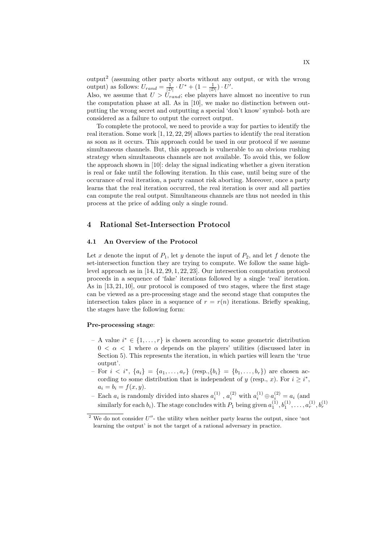output<sup>2</sup> (assuming other party aborts without any output, or with the wrong output) as follows:  $U_{rand} = \frac{1}{|\mathcal{D}|} \cdot U^* + \left(1 - \frac{1}{|\mathcal{D}|}\right) \cdot U'.$ 

Also, we assume that  $U > U_{rand}$ ; else players have almost no incentive to run the computation phase at all. As in [10], we make no distinction between outputting the wrong secret and outputting a special 'don't know' symbol- both are considered as a failure to output the correct output.

To complete the protocol, we need to provide a way for parties to identify the real iteration. Some work [1, 12, 22, 29] allows parties to identify the real iteration as soon as it occurs. This approach could be used in our protocol if we assume simultaneous channels. But, this approach is vulnerable to an obvious rushing strategy when simultaneous channels are not available. To avoid this, we follow the approach shown in [10]: delay the signal indicating whether a given iteration is real or fake until the following iteration. In this case, until being sure of the occurance of real iteration, a party cannot risk aborting. Moreover, once a party learns that the real iteration occurred, the real iteration is over and all parties can compute the real output. Simultaneous channels are thus not needed in this process at the price of adding only a single round.

#### 4 Rational Set-Intersection Protocol

#### 4.1 An Overview of the Protocol

Let x denote the input of  $P_1$ , let y denote the input of  $P_2$ , and let f denote the set-intersection function they are trying to compute. We follow the same highlevel approach as in [14, 12, 29, 1, 22, 23]. Our intersection computation protocol proceeds in a sequence of 'fake' iterations followed by a single 'real' iteration. As in [13, 21, 10], our protocol is composed of two stages, where the first stage can be viewed as a pre-processing stage and the second stage that computes the intersection takes place in a sequence of  $r = r(n)$  iterations. Briefly speaking, the stages have the following form:

#### Pre-processing stage:

- − A value  $i^* \in \{1, \ldots, r\}$  is chosen according to some geometric distribution  $0 < \alpha < 1$  where  $\alpha$  depends on the players' utilities (discussed later in Section 5). This represents the iteration, in which parties will learn the 'true output'.
- For  $i < i^*$ ,  $\{a_i\} = \{a_1, \ldots, a_r\}$  (resp., $\{b_i\} = \{b_1, \ldots, b_r\}$ ) are chosen according to some distribution that is independent of y (resp., x). For  $i \geq i^*$ ,  $a_i = b_i = f(x, y).$
- Each  $a_i$  is randomly divided into shares  $a_i^{(1)}$ ,  $a_i^{(2)}$  with  $a_i^{(1)} \oplus a_i^{(2)} = a_i$  (and similarly for each  $b_i$ ). The stage concludes with  $P_1$  being given  $a_1^{(1)}, b_1^{(1)}, \ldots, a_r^{(1)}, b_r^{(1)}$

<sup>&</sup>lt;sup>2</sup> We do not consider  $U''$ - the utility when neither party learns the output, since 'not learning the output' is not the target of a rational adversary in practice.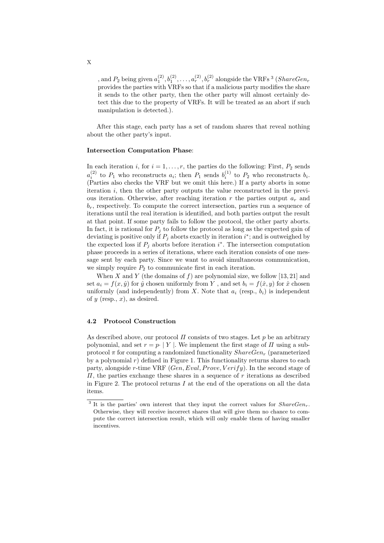, and  $P_2$  being given  $a_1^{(2)}, b_1^{(2)}, \ldots, a_r^{(2)}, b_r^{(2)}$  alongside the VRFs  $^3$  (*ShareGen* provides the parties with VRFs so that if a malicious party modifies the share it sends to the other party, then the other party will almost certainly detect this due to the property of VRFs. It will be treated as an abort if such manipulation is detected.).

After this stage, each party has a set of random shares that reveal nothing about the other party's input.

#### Intersection Computation Phase:

In each iteration i, for  $i = 1, \ldots, r$ , the parties do the following: First,  $P_2$  sends  $a_i^{(2)}$  to  $P_1$  who reconstructs  $a_i$ ; then  $P_1$  sends  $b_i^{(1)}$  to  $P_2$  who reconstructs  $b_i$ . (Parties also checks the VRF but we omit this here.) If a party aborts in some iteration  $i$ , then the other party outputs the value reconstructed in the previous iteration. Otherwise, after reaching iteration r the parties output  $a_r$  and  $b_r$ , respectively. To compute the correct intersection, parties run a sequence of iterations until the real iteration is identified, and both parties output the result at that point. If some party fails to follow the protocol, the other party aborts. In fact, it is rational for  $P_i$  to follow the protocol as long as the expected gain of deviating is positive only if  $P_j$  aborts exactly in iteration i<sup>\*</sup>; and is outweighed by the expected loss if  $P_j$  aborts before iteration  $i^*$ . The intersection computation phase proceeds in a series of iterations, where each iteration consists of one message sent by each party. Since we want to avoid simultaneous communication, we simply require  $P_2$  to communicate first in each iteration.

When X and Y (the domains of f) are polynomial size, we follow [13, 21] and set  $a_i = f(x, \hat{y})$  for  $\hat{y}$  chosen uniformly from Y, and set  $b_i = f(\hat{x}, y)$  for  $\hat{x}$  chosen uniformly (and independently) from X. Note that  $a_i$  (resp.,  $b_i$ ) is independent of  $y$  (resp.,  $x$ ), as desired.

#### 4.2 Protocol Construction

As described above, our protocol  $\Pi$  consists of two stages. Let p be an arbitrary polynomial, and set  $r = p \cdot |Y|$ . We implement the first stage of  $\Pi$  using a subprotocol  $\pi$  for computing a randomized functionality  $ShareGen_r$  (parameterized by a polynomial  $r$ ) defined in Figure 1. This functionality returns shares to each party, alongside r-time VRF  $(Gen,Eval, Prove, Verify)$ . In the second stage of  $\Pi$ , the parties exchange these shares in a sequence of r iterations as described in Figure 2. The protocol returns  $I$  at the end of the operations on all the data items.

<sup>&</sup>lt;sup>3</sup> It is the parties' own interest that they input the correct values for  $ShareGen_r$ . Otherwise, they will receive incorrect shares that will give them no chance to compute the correct intersection result, which will only enable them of having smaller incentives.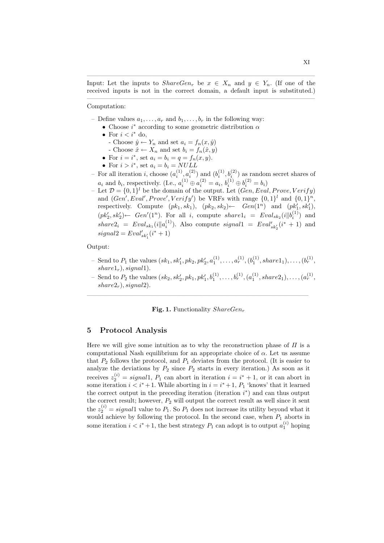$\mathcal{L}=\{1,2,3,4\}$  , we can consider the constant of the constant of the constant of the constant of the constant of the constant of the constant of the constant of the constant of the constant of the constant of the con Input: Let the inputs to  $ShareGen_r$  be  $x \in X_n$  and  $y \in Y_n$ . (If one of the received inputs is not in the correct domain, a default input is substituted.)  $\frac{1}{\sqrt{2}}$  , and the contract of the contract of the contract of the contract of the contract of the contract of the contract of the contract of the contract of the contract of the contract of the contract of the contra

Computation:

- Define values  $a_1, \ldots, a_r$  and  $b_1, \ldots, b_r$  in the following way:
	- Choose  $i^*$  according to some geometric distribution  $\alpha$
	- For  $i < i^*$  do,
		- Choose  $\hat{y} \leftarrow Y_n$  and set  $a_i = f_n(x, \hat{y})$
		- Choose  $\hat{x} \leftarrow X_n$  and set  $b_i = f_n(\hat{x}, y)$
	- For  $i = i^*$ , set  $a_i = b_i = q = f_n(x, y)$ .
	- For  $i > i^*$ , set  $a_i = b_i = NULL$
- For all iteration *i*, choose  $(a_i^{(1)}, a_i^{(2)})$  and  $(b_i^{(1)}, b_i^{(2)})$  as random secret shares of  $a_i$  and  $b_i$ , respectively. (I.e.,  $a_i^{(1)} \oplus a_i^{(2)} = a_i, b_i^{(1)} \oplus b_i^{(2)} = b_i$ )
- Let  $\mathcal{D} = \{0,1\}^l$  be the domain of the output. Let  $(Gen,Eval, Prove, Verify)$ and  $(Gen',Eval', Prove', Verify')$  be VRFs with range  $\{0,1\}^l$  and  $\{0,1\}^n$ , respectively. Compute  $(pk_1, sk_1)$ ,  $(pk_2, sk_2) \leftarrow Gen(1^n)$  and  $(pk'_1, sk'_1)$ ,  $(pk'_2, sk'_2) \leftarrow Gen'(1^n)$ . For all *i*, compute share  $1_i = Eval_{sk_2}(i||b_i^{(1)})$  and  $share2_i = Eval_{sk_1}(i||a_i^{(1)})$ . Also compute  $signal1 = Eval'_{sk'_2}(i^* + 1)$  and  $signal2 = Eval'_{sk'_1}(i^* + 1)$

Output:

- $-$  Send to  $P_1$  the values  $(sk_1, sk'_1, pk_2, pk'_2, a_1^{(1)}, \ldots, a_r^{(1)}, (b_1^{(1)}, shared_1), \ldots, (b_r^{(1)},$  $shared<sub>r</sub>$ , signal1).
- $-$  Send to  $P_2$  the values  $(sk_2, sk'_2, pk_1, pk'_1, b_1^{(1)}, \ldots, b_r^{(1)}, (a_1^{(1)}, share2_1), \ldots, (a_r^{(1)},$  $share2<sub>r</sub>$ ), signal2).

#### Fig. 1. Functionality  $ShareGen_r$

 $\frac{1}{\sqrt{2}}$  , and the contribution of  $\frac{1}{\sqrt{2}}$  , and  $\frac{1}{\sqrt{2}}$  , and  $\frac{1}{\sqrt{2}}$  , and  $\frac{1}{\sqrt{2}}$  , and  $\frac{1}{\sqrt{2}}$ 

#### 5 Protocol Analysis

Here we will give some intuition as to why the reconstruction phase of  $\Pi$  is a computational Nash equilibrium for an appropriate choice of  $\alpha$ . Let us assume that  $P_2$  follows the protocol, and  $P_1$  deviates from the protocol. (It is easier to analyze the deviations by  $P_2$  since  $P_2$  starts in every iteration.) As soon as it receives  $z_2^{(i)} = signal1$ ,  $P_1$  can abort in iteration  $i = i^* + 1$ , or it can abort in some iteration  $i < i^* + 1$ . While aborting in  $i = i^* + 1$ ,  $P_1$  'knows' that it learned the correct output in the preceding iteration (iteration  $i^*$ ) and can thus output the correct result; however,  $P_2$  will output the correct result as well since it sent the  $z_2^{(i)} = signal1$  value to  $P_1$ . So  $P_1$  does not increase its utility beyond what it would achieve by following the protocol. In the second case, when  $P_1$  aborts in some iteration  $i < i^* + 1$ , the best strategy  $P_1$  can adopt is to output  $a_1^{(i)}$  hoping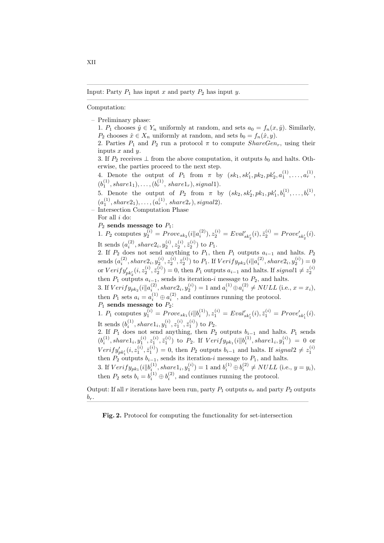Computation:

– Preliminary phase:

1.  $P_1$  chooses  $\hat{y} \in Y_n$  uniformly at random, and sets  $a_0 = f_n(x, \hat{y})$ . Similarly,  $P_2$  chooses  $\hat{x} \in X_n$  uniformly at random, and sets  $b_0 = f_n(\hat{x}, y)$ .

 $\overline{\phantom{a}}$  , and the contract of the contract of the contract of the contract of the contract of the contract of the contract of the contract of the contract of the contract of the contract of the contract of the contrac

 $\overline{\phantom{a}}$  , and the contract of the contract of the contract of the contract of the contract of the contract of the contract of the contract of the contract of the contract of the contract of the contract of the contrac

2. Parties  $P_1$  and  $P_2$  run a protocol  $\pi$  to compute  $ShareGen_r$ , using their inputs  $x$  and  $y$ .

3. If  $P_2$  receives  $\perp$  from the above computation, it outputs  $b_0$  and halts. Otherwise, the parties proceed to the next step.

4. Denote the output of  $P_1$  from  $\pi$  by  $(sk_1, sk'_1, pk_2, pk'_2, a_1^{(1)}, \ldots, a_r^{(1)},$  $(b_1^{(1)}, share1_1), \ldots, (b_r^{(1)}, share1_r), signal1).$ 

5. Denote the output of  $P_2$  from  $\pi$  by  $(sk_2, sk'_2, pk_1, pk'_1, b_1^{(1)}, \ldots, b_r^{(1)},$  $(a_1^{(1)}, share2_1), \ldots, (a_r^{(1)}, share2_r), signal2).$ 

– Intersection Computation Phase

For all i do:

 $P_2$  sends message to  $P_1$ :

1.  $P_2$  computes  $y_2^{(i)} = Prove_{sk_2}(i||a_i^{(2)}), z_2^{(i)} = Eval'_{sk'_2}(i), \bar{z}_2^{(i)} = Prove'_{sk'_2}(i)$ . It sends  $(a_i^{(2)}, share2_i, y_2^{(i)}, z_2^{(i)}, \bar{z}_2^{(i)})$  to  $P_1$ .

2. If  $P_2$  does not send anything to  $P_1$ , then  $P_1$  outputs  $a_{i-1}$  and halts.  $P_2$ sends  $(a_i^{(2)}, share_{i}, y_2^{(i)}, z_2^{(i)}, \bar{z}_2^{(i)})$  to  $P_1$ . If  $Verify_{pk_2}(i||a_i^{(2)}, share_{i}, y_2^{(i)}) = 0$ or  $Verify'_{pk'_2}(i, z_2^{(i)}, \bar{z}_2^{(i)}) = 0$ , then  $P_1$  outputs  $a_{i-1}$  and halts. If  $signal1 \neq z_2^{(i)}$ then  $P_1$  outputs  $a_{i-1}$ , sends its iteration-i message to  $P_2$ , and halts.

3. If  $Verify_{pk_2}(i||a_i^{(2)}, share_{i}, y_2^{(i)}) = 1$  and  $a_i^{(1)} \oplus a_i^{(2)} \neq NULL$  (i.e.,  $x = x_i$ ), then  $P_1$  sets  $a_i = a_i^{(1)} \oplus a_i^{(2)}$ , and continues running the protocol.

## $P_1$  sends message to  $P_2$ :

1.  $P_1$  computes  $y_1^{(i)} = Prove_{sk_1}(i||b_i^{(1)}), z_1^{(i)} = Eval'_{sk'_1}(i), \bar{z}_1^{(i)} = Prove'_{sk'_1}(i)$ . It sends  $(b_i^{(1)}, share1_i, y_1^{(i)}, z_1^{(i)}, \bar{z}_1^{(i)})$  to  $P_2$ .

2. If  $P_1$  does not send anything, then  $P_2$  outputs  $b_{i-1}$  and halts.  $P_1$  sends  $(b_i^{(1)}, share1_i, y_1^{(i)}, z_1^{(i)}, \bar{z}_1^{(i)})$  to  $P_2$ . If  $Verify_{pk_1}(i||b_i^{(1)}, share1_i, y_1^{(i)}) = 0$  or  $Verify'_{pk'_1}(i, z_1^{(i)}, \bar{z}_1^{(i)}) = 0$ , then  $P_2$  outputs  $b_{i-1}$  and halts. If  $signal2 \neq z_1^{(i)}$ then  $P_2$  outputs  $b_{i-1}$ , sends its iteration-i message to  $P_1$ , and halts.

3. If  $Verify_{pk_1}(i||b_i^{(1)}, share1_i, y_1^{(i)}) = 1$  and  $b_i^{(1)} \oplus b_i^{(2)} \neq NULL$  (i.e.,  $y = y_i$ ), then  $P_2$  sets  $b_i = b_i^{(1)} \oplus b_i^{(2)}$ , and continues running the protocol.

Output: If all r iterations have been run, party  $P_1$  outputs  $a_r$  and party  $P_2$  outputs  $b_r$ .

Fig. 2. Protocol for computing the functionality for set-intersection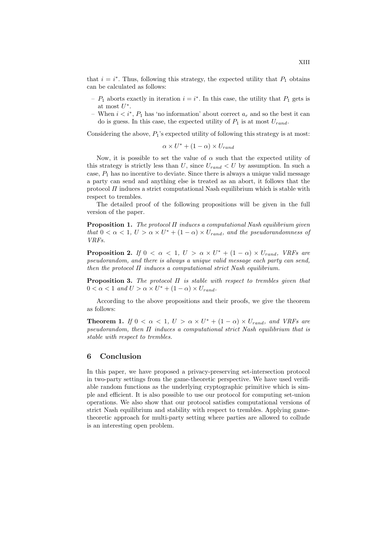that  $i = i^*$ . Thus, following this strategy, the expected utility that  $P_1$  obtains can be calculated as follows:

- $-P_1$  aborts exactly in iteration  $i = i^*$ . In this case, the utility that  $P_1$  gets is at most  $U^*$ .
- When  $i < i^*$ ,  $P_1$  has 'no information' about correct  $a_r$  and so the best it can do is guess. In this case, the expected utility of  $P_1$  is at most  $U_{rand}$ .

Considering the above,  $P_1$ 's expected utility of following this strategy is at most:

$$
\alpha \times U^* + (1 - \alpha) \times U_{rand}
$$

Now, it is possible to set the value of  $\alpha$  such that the expected utility of this strategy is strictly less than U, since  $U_{rand} < U$  by assumption. In such a case,  $P_1$  has no incentive to deviate. Since there is always a unique valid message a party can send and anything else is treated as an abort, it follows that the protocol  $\Pi$  induces a strict computational Nash equilibrium which is stable with respect to trembles.

The detailed proof of the following propositions will be given in the full version of the paper.

**Proposition 1.** The protocol  $\Pi$  induces a computational Nash equilibrium given that  $0 < \alpha < 1$ ,  $U > \alpha \times U^* + (1 - \alpha) \times U_{rand}$ , and the pseudorandomness of VRFs.

**Proposition 2.** If  $0 < \alpha < 1$ ,  $U > \alpha \times U^* + (1 - \alpha) \times U_{rand}$ , VRFs are pseudorandom, and there is always a unique valid message each party can send, then the protocol  $\Pi$  induces a computational strict Nash equilibrium.

**Proposition 3.** The protocol  $\Pi$  is stable with respect to trembles given that  $0 < \alpha < 1$  and  $U > \alpha \times U^* + (1 - \alpha) \times U_{rand}$ .

According to the above propositions and their proofs, we give the theorem as follows:

**Theorem 1.** If  $0 < \alpha < 1$ ,  $U > \alpha \times U^* + (1 - \alpha) \times U_{rand}$ , and VRFs are pseudorandom, then  $\Pi$  induces a computational strict Nash equilibrium that is stable with respect to trembles.

#### 6 Conclusion

In this paper, we have proposed a privacy-preserving set-intersection protocol in two-party settings from the game-theoretic perspective. We have used verifiable random functions as the underlying cryptographic primitive which is simple and efficient. It is also possible to use our protocol for computing set-union operations. We also show that our protocol satisfies computational versions of strict Nash equilibrium and stability with respect to trembles. Applying gametheoretic approach for multi-party setting where parties are allowed to collude is an interesting open problem.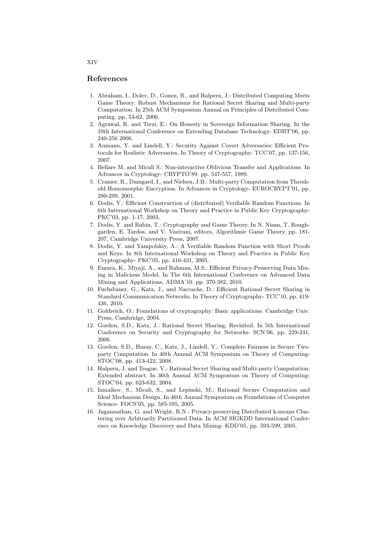#### References

- 1. Abraham, I., Dolev, D., Gonen, R., and Halpern, J.: Distributed Computing Meets Game Theory: Robust Mechanisms for Rational Secret Sharing and Multi-party Computation. In 25th ACM Symposium Annual on Principles of Distributed Computing, pp. 53-62, 2006.
- 2. Agrawal, R. and Terzi, E.: On Honesty in Sovereign Information Sharing. In the 10th International Conference on Extending Database Technology- EDBT'06, pp. 240-256 2006.
- 3. Aumann, Y. and Lindell, Y.: Security Against Covert Adversaries: Efficient Protocols for Realistic Adversaries, In Theory of Cryptography- TCC'07, pp. 137-156, 2007.
- 4. Bellare M. and Micali S.: Non-interactive Oblivious Transfer and Applications. In Advances in Cryptology- CRYPTO'89. pp. 547-557, 1989.
- 5. Cramer, R., Damgard, I., and Nielsen, J.B.: Multi-party Computation from Threshold Homomorphic Encryption. In Advances in Cryptology- EUROCRYPT'01, pp. 280-299, 2001.
- 6. Dodis, Y.: Efficient Construction of (distributed) Verifiable Random Functions. In 6th International Workshop on Theory and Practice in Public Key Cryptography-PKC'03, pp. 1-17, 2003.
- 7. Dodis, Y. and Rabin, T.: Cryptography and Game Theory. In N. Nisan, T. Roughgarden, E. Tardos, and V. Vazirani, editors, Algorithmic Game Theory, pp. 181- 207, Cambridge University Press, 2007.
- 8. Dodis, Y. and Yampolskiy, A.: A Verifiable Random Function with Short Proofs and Keys. In 8th International Workshop on Theory and Practice in Public Key Cryptography- PKC'05, pp. 416-431, 2005.
- 9. Emura, K., Miyaji, A., and Rahman, M.S.: Efficient Privacy-Preserving Data Mining in Malicious Model. In The 6th International Conference on Advanced Data Mining and Applications, ADMA'10. pp. 370-382, 2010.
- 10. Fuchsbauer, G., Katz, J., and Naccache, D.: Efficient Rational Secret Sharing in Standard Communication Networks. In Theory of Cryptography- TCC'10, pp. 419- 436, 2010.
- 11. Goldreich, O.: Foundations of cryptography: Basic applications. Cambridge Univ. Press, Cambridge, 2004.
- 12. Gordon, S.D., Katz, J.: Rational Secret Sharing, Revisited. In 5th International Conference on Security and Cryptography for Networks- SCN'06, pp. 229-241, 2006.
- 13. Gordon, S.D., Hazay, C., Katz, J., Lindell, Y.: Complete Fairness in Secure Twoparty Computation. In 40th Annual ACM Symposium on Theory of Computing-STOC'08, pp. 413-422, 2008.
- 14. Halpern, J. and Teague, V.: Rational Secret Sharing and Multi-party Computation: Extended abstract. In 36th Annual ACM Symposium on Theory of Computing-STOC'04, pp. 623-632, 2004.
- 15. Izmalkov, S., Micali, S., and Lepinski, M.: Rational Secure Computation and Ideal Mechanism Design. In 46th Annual Symposium on Foundations of Computer Science- FOCS'05, pp. 585-595, 2005.
- 16. Jagannathan, G. and Wright, R.N.: Privacy-preserving Distributed k-means Clustering over Arbitrarily Partitioned Data. In ACM SIGKDD International Conference on Knowledge Discovery and Data Mining- KDD'05, pp. 593-599, 2005.

## XIV